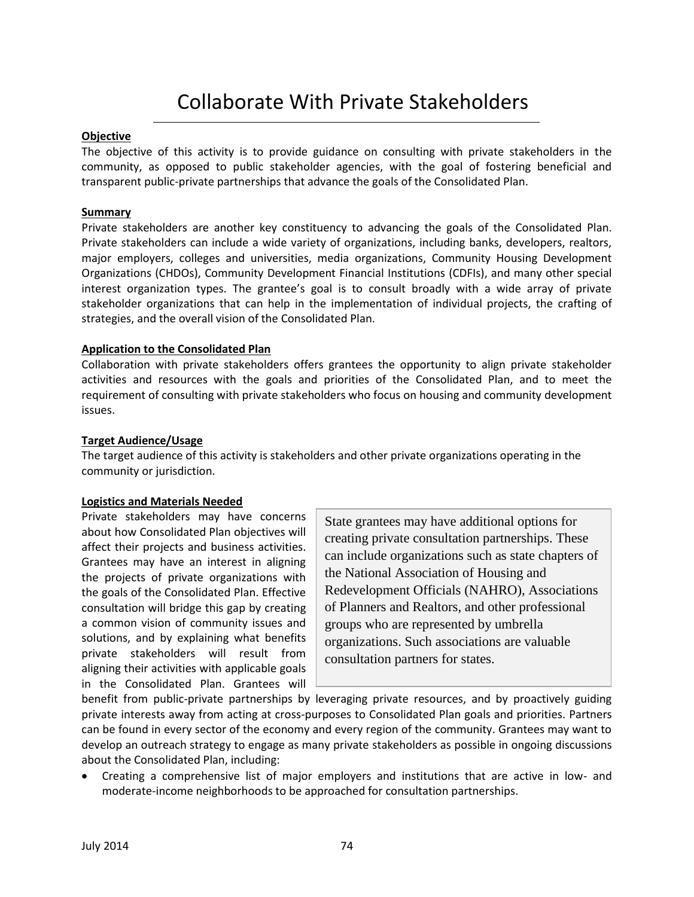# Collaborate With Private Stakeholders

#### **Objective**

The objective of this activity is to provide guidance on consulting with private stakeholders in the community, as opposed to public stakeholder agencies, with the goal of fostering beneficial and transparent public-private partnerships that advance the goals of the Consolidated Plan.

#### **Summary**

Private stakeholders are another key constituency to advancing the goals of the Consolidated Plan. Private stakeholders can include a wide variety of organizations, including banks, developers, realtors, major employers, colleges and universities, media organizations, Community Housing Development Organizations (CHDOs), Community Development Financial Institutions (CDFIs), and many other special interest organization types. The grantee's goal is to consult broadly with a wide array of private stakeholder organizations that can help in the implementation of individual projects, the crafting of strategies, and the overall vision of the Consolidated Plan.

#### **Application to the Consolidated Plan**

Collaboration with private stakeholders offers grantees the opportunity to align private stakeholder activities and resources with the goals and priorities of the Consolidated Plan, and to meet the requirement of consulting with private stakeholders who focus on housing and community development issues.

#### **Target Audience/Usage**

The target audience of this activity is stakeholders and other private organizations operating in the community or jurisdiction.

### **Logistics and Materials Needed**

Private stakeholders may have concerns about how Consolidated Plan objectives will affect their projects and business activities. Grantees may have an interest in aligning the projects of private organizations with the goals of the Consolidated Plan. Effective consultation will bridge this gap by creating a common vision of community issues and solutions, and by explaining what benefits private stakeholders will result from aligning their activities with applicable goals in the Consolidated Plan. Grantees will State grantees may have additional options for creating private consultation partnerships. These can include organizations such as state chapters of the National Association of Housing and Redevelopment Officials (NAHRO), Associations of Planners and Realtors, and other professional groups who are represented by umbrella organizations. Such associations are valuable consultation partners for states.

benefit from public-private partnerships by leveraging private resources, and by proactively guiding private interests away from acting at cross-purposes to Consolidated Plan goals and priorities. Partners can be found in every sector of the economy and every region of the community. Grantees may want to develop an outreach strategy to engage as many private stakeholders as possible in ongoing discussions about the Consolidated Plan, including:

 Creating a comprehensive list of major employers and institutions that are active in low- and moderate-income neighborhoods to be approached for consultation partnerships.